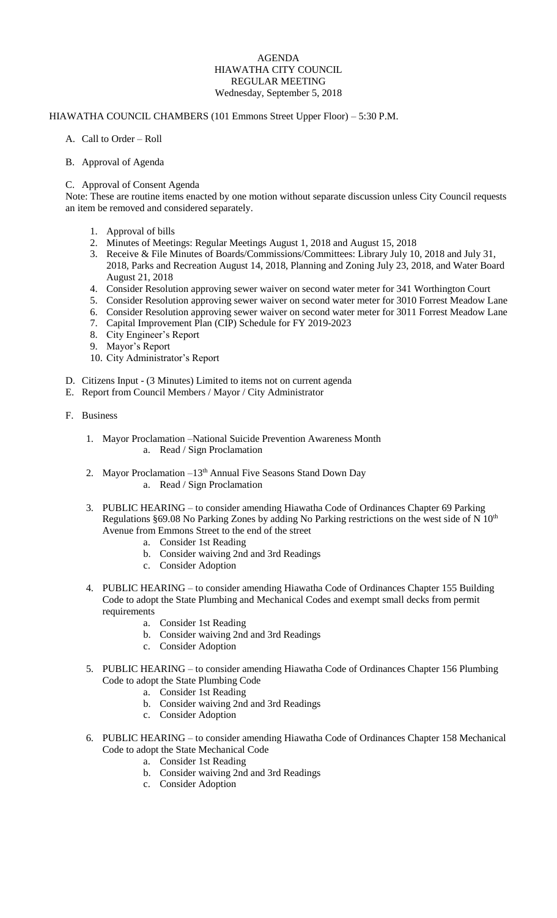## AGENDA HIAWATHA CITY COUNCIL REGULAR MEETING Wednesday, September 5, 2018

## HIAWATHA COUNCIL CHAMBERS (101 Emmons Street Upper Floor) – 5:30 P.M.

- A. Call to Order Roll
- B. Approval of Agenda
- C. Approval of Consent Agenda

Note: These are routine items enacted by one motion without separate discussion unless City Council requests an item be removed and considered separately.

- 1. Approval of bills
- 2. Minutes of Meetings: Regular Meetings August 1, 2018 and August 15, 2018
- 3. Receive & File Minutes of Boards/Commissions/Committees: Library July 10, 2018 and July 31, 2018, Parks and Recreation August 14, 2018, Planning and Zoning July 23, 2018, and Water Board August 21, 2018
- 4. Consider Resolution approving sewer waiver on second water meter for 341 Worthington Court
- 5. Consider Resolution approving sewer waiver on second water meter for 3010 Forrest Meadow Lane
- 6. Consider Resolution approving sewer waiver on second water meter for 3011 Forrest Meadow Lane
- 7. Capital Improvement Plan (CIP) Schedule for FY 2019-2023
- 8. City Engineer's Report
- 9. Mayor's Report
- 10. City Administrator's Report
- D. Citizens Input (3 Minutes) Limited to items not on current agenda
- E. Report from Council Members / Mayor / City Administrator
- F. Business
	- 1. Mayor Proclamation –National Suicide Prevention Awareness Month a. Read / Sign Proclamation
	- 2. Mayor Proclamation -13<sup>th</sup> Annual Five Seasons Stand Down Day a. Read / Sign Proclamation
	- 3. PUBLIC HEARING to consider amending Hiawatha Code of Ordinances Chapter 69 Parking Regulations §69.08 No Parking Zones by adding No Parking restrictions on the west side of N 10<sup>th</sup> Avenue from Emmons Street to the end of the street
		- a. Consider 1st Reading
		- b. Consider waiving 2nd and 3rd Readings
		- c. Consider Adoption
	- 4. PUBLIC HEARING to consider amending Hiawatha Code of Ordinances Chapter 155 Building Code to adopt the State Plumbing and Mechanical Codes and exempt small decks from permit requirements
		- a. Consider 1st Reading
		- b. Consider waiving 2nd and 3rd Readings
		- c. Consider Adoption
	- 5. PUBLIC HEARING to consider amending Hiawatha Code of Ordinances Chapter 156 Plumbing Code to adopt the State Plumbing Code
		- a. Consider 1st Reading
		- b. Consider waiving 2nd and 3rd Readings
		- c. Consider Adoption
	- 6. PUBLIC HEARING to consider amending Hiawatha Code of Ordinances Chapter 158 Mechanical Code to adopt the State Mechanical Code
		- a. Consider 1st Reading
		- b. Consider waiving 2nd and 3rd Readings
		- c. Consider Adoption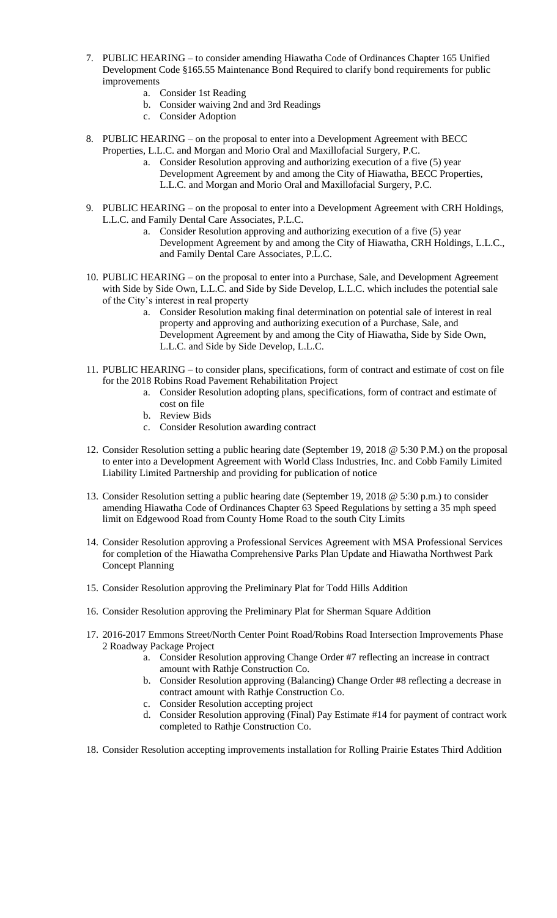- 7. PUBLIC HEARING to consider amending Hiawatha Code of Ordinances Chapter 165 Unified Development Code §165.55 Maintenance Bond Required to clarify bond requirements for public improvements
	- a. Consider 1st Reading
	- b. Consider waiving 2nd and 3rd Readings
	- c. Consider Adoption
- 8. PUBLIC HEARING on the proposal to enter into a Development Agreement with BECC Properties, L.L.C. and Morgan and Morio Oral and Maxillofacial Surgery, P.C.
	- a. Consider Resolution approving and authorizing execution of a five (5) year Development Agreement by and among the City of Hiawatha, BECC Properties, L.L.C. and Morgan and Morio Oral and Maxillofacial Surgery, P.C.
- 9. PUBLIC HEARING on the proposal to enter into a Development Agreement with CRH Holdings, L.L.C. and Family Dental Care Associates, P.L.C.
	- a. Consider Resolution approving and authorizing execution of a five (5) year Development Agreement by and among the City of Hiawatha, CRH Holdings, L.L.C., and Family Dental Care Associates, P.L.C.
- 10. PUBLIC HEARING on the proposal to enter into a Purchase, Sale, and Development Agreement with Side by Side Own, L.L.C. and Side by Side Develop, L.L.C. which includes the potential sale of the City's interest in real property
	- a. Consider Resolution making final determination on potential sale of interest in real property and approving and authorizing execution of a Purchase, Sale, and Development Agreement by and among the City of Hiawatha, Side by Side Own, L.L.C. and Side by Side Develop, L.L.C.
- 11. PUBLIC HEARING to consider plans, specifications, form of contract and estimate of cost on file for the 2018 Robins Road Pavement Rehabilitation Project
	- a. Consider Resolution adopting plans, specifications, form of contract and estimate of
	- cost on file
	- b. Review Bids
	- c. Consider Resolution awarding contract
- 12. Consider Resolution setting a public hearing date (September 19, 2018 @ 5:30 P.M.) on the proposal to enter into a Development Agreement with World Class Industries, Inc. and Cobb Family Limited Liability Limited Partnership and providing for publication of notice
- 13. Consider Resolution setting a public hearing date (September 19, 2018 @ 5:30 p.m.) to consider amending Hiawatha Code of Ordinances Chapter 63 Speed Regulations by setting a 35 mph speed limit on Edgewood Road from County Home Road to the south City Limits
- 14. Consider Resolution approving a Professional Services Agreement with MSA Professional Services for completion of the Hiawatha Comprehensive Parks Plan Update and Hiawatha Northwest Park Concept Planning
- 15. Consider Resolution approving the Preliminary Plat for Todd Hills Addition
- 16. Consider Resolution approving the Preliminary Plat for Sherman Square Addition
- 17. 2016-2017 Emmons Street/North Center Point Road/Robins Road Intersection Improvements Phase 2 Roadway Package Project
	- a. Consider Resolution approving Change Order #7 reflecting an increase in contract amount with Rathje Construction Co.
	- b. Consider Resolution approving (Balancing) Change Order #8 reflecting a decrease in contract amount with Rathje Construction Co.
	- c. Consider Resolution accepting project
	- d. Consider Resolution approving (Final) Pay Estimate #14 for payment of contract work completed to Rathje Construction Co.
- 18. Consider Resolution accepting improvements installation for Rolling Prairie Estates Third Addition